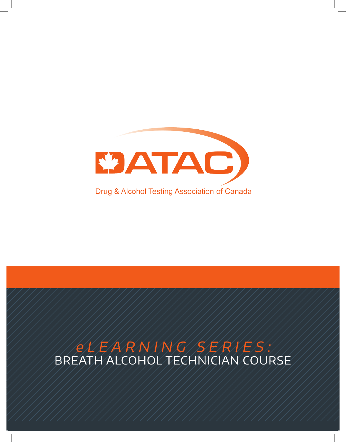

# ELEARNING SERIES!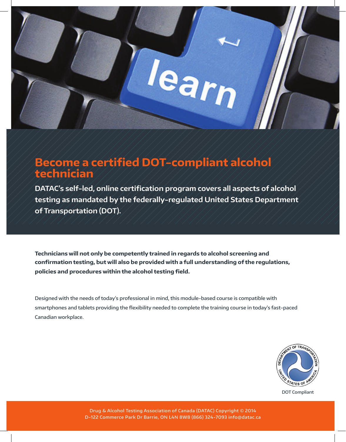

# **Become a certified DOT-compliant alcohol technician**

**DATAC's self-led, online certification program covers all aspects of alcohol testing as mandated by the federally-regulated United States Department of Transportation (DOT).** 

**Technicians will not only be competently trained in regards to alcohol screening and confirmation testing, but will also be provided with a full understanding of the regulations, policies and procedures within the alcohol testing field.** 

Designed with the needs of today's professional in mind, this module-based course is compatible with smartphones and tablets providing the flexibility needed to complete the training course in today's fast-paced Canadian workplace.



DOT Compliant

Drug & Alcohol Testing Association of Canada (DATAC) Copyright © 2014 D-122 Commerce Park Dr Barrie, ON L4N 8W8 (866) 324-7093 info@datac.ca